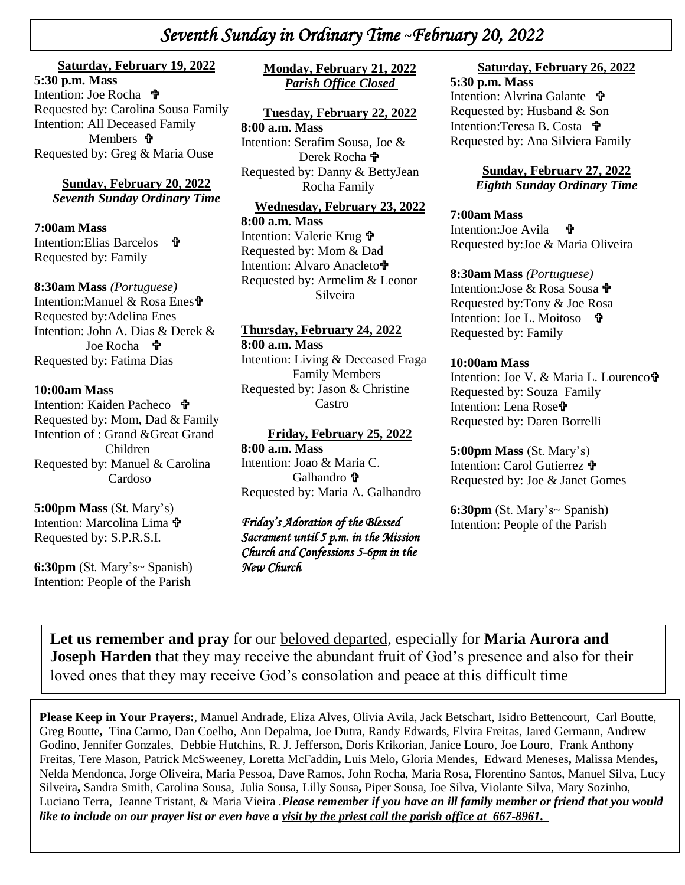# *Seventh Sunday in Ordinary Time* **~***February 20, 2022*

### **Saturday, February 19, 2022**

**+**  Requested by: Carolina Sousa Family  *\* Requested by: Greg & Maria Ouse **5:30 p.m. Mass**  Intention: Joe Rocha **t** Intention: All Deceased Family Members *T* 

**Sunday, February 20, 2022** *Seventh Sunday Ordinary Time*

### **7:00am Mass**

Intention:Elias Barcelos **f** Requested by: Family

#### **8:30am Mass** *(Portuguese)*

Intention:Manuel & Rosa Enes Requested by:Adelina Enes Intention: John A. Dias & Derek & Joe Rocha **t** Requested by: Fatima Dias

#### **10:00am Mass**

Intention: Kaiden Pacheco Requested by: Mom, Dad & Family Intention of : Grand &Great Grand Children Requested by: Manuel & Carolina Cardoso

**5:00pm Mass** (St. Mary's) Intention: Marcolina Lima  $\mathbf{\hat{\mathbf{F}}}$ Requested by: S.P.R.S.I.

**6:30pm** (St. Mary's~ Spanish) Intention: People of the Parish

## **Monday, February 21, 2022** *Parish Office Closed*

#### **Tuesday, February 22, 2022**

**8:00 a.m. Mass** Intention: Serafim Sousa, Joe & Derek Rocha **ਜੇ** Requested by: Danny & BettyJean Rocha Family

**Wednesday, February 23, 2022 8:00 a.m. Mass** Intention: Valerie Krug Requested by: Mom & Dad Intention: Alvaro Anacleto**t** Requested by: Armelim & Leonor Silveira

#### **Thursday, February 24, 2022**

**8:00 a.m. Mass** Intention: Living & Deceased Fraga Family Members Requested by: Jason & Christine Castro

#### **Friday, February 25, 2022**

**8:00 a.m. Mass** Intention: Joao & Maria C. Galhandro <sup>+</sup> Requested by: Maria A. Galhandro

## *Friday's Adoration of the Blessed Sacrament until 5 p.m. in the Mission Church and Confessions 5-6pm in the New Church*

## **Saturday, February 26, 2022**

**5:30 p.m. Mass**  Intention: Alvrina Galante Requested by: Husband & Son Intention:Teresa B. Costa 宁 Requested by: Ana Silviera Family

#### **Sunday, February 27, 2022** *Eighth Sunday Ordinary Time*

#### **7:00am Mass**  Intention:Joe Avila Requested by:Joe & Maria Oliveira

#### **8:30am Mass** *(Portuguese)* Intention:Jose & Rosa Sousa

Requested by:Tony & Joe Rosa Intention: Joe L. Moitoso 宁 Requested by: Family

### **10:00am Mass**

Intention: Joe V. & Maria L. Lourenco Requested by: Souza Family Intention: Lena Rose Requested by: Daren Borrelli

## **5:00pm Mass** (St. Mary's)

Intention: Carol Gutierrez Requested by: Joe & Janet Gomes

**6:30pm** (St. Mary's~ Spanish) Intention: People of the Parish

**Let us remember and pray** for our beloved departed, especially for **Maria Aurora and Joseph Harden** that they may receive the abundant fruit of God's presence and also for their loved ones that they may receive God's consolation and peace at this difficult time

**Please Keep in Your Prayers:**, Manuel Andrade, Eliza Alves, Olivia Avila, Jack Betschart, Isidro Bettencourt, Carl Boutte, Greg Boutte**,** Tina Carmo, Dan Coelho, Ann Depalma, Joe Dutra, Randy Edwards, Elvira Freitas, Jared Germann, Andrew Godino, Jennifer Gonzales, Debbie Hutchins, R. J. Jefferson**,** Doris Krikorian, Janice Louro, Joe Louro, Frank Anthony Freitas, Tere Mason, Patrick McSweeney, Loretta McFaddin**,** Luis Melo**,** Gloria Mendes, Edward Meneses**,** Malissa Mendes**,** Nelda Mendonca, Jorge Oliveira, Maria Pessoa, Dave Ramos, John Rocha, Maria Rosa, Florentino Santos, Manuel Silva, Lucy Silveira**,** Sandra Smith, Carolina Sousa, Julia Sousa, Lilly Sousa**,** Piper Sousa, Joe Silva, Violante Silva, Mary Sozinho, Luciano Terra, Jeanne Tristant, & Maria Vieira .*Please remember if you have an ill family member or friend that you would like to include on our prayer list or even have a visit by the priest call the parish office at 667-8961.*